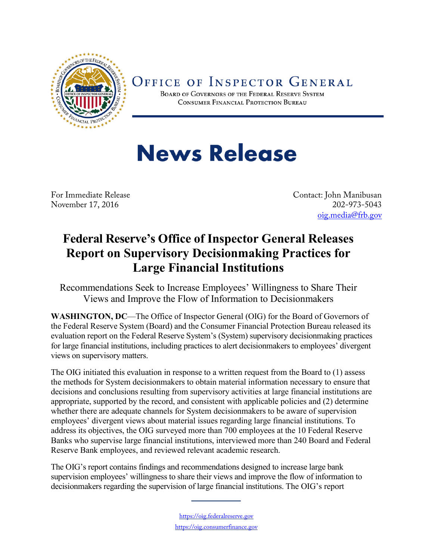

## OFFICE OF INSPECTOR GENERAL

BOARD OF GOVERNORS OF THE FEDERAL RESERVE SYSTEM CONSUMER FINANCIAL PROTECTION BUREAU

## **News Release**

November 17, 2016

For Immediate Release Contact: John Manibusan<br>November 17, 2016 202-973-5043 [oig.media@frb.gov](mailto:oig.media@frb.gov)

## **Federal Reserve's Office of Inspector General Releases Report on Supervisory Decisionmaking Practices for Large Financial Institutions**

Recommendations Seek to Increase Employees' Willingness to Share Their Views and Improve the Flow of Information to Decisionmakers

**WASHINGTON, DC**—The Office of Inspector General (OIG) for the Board of Governors of the Federal Reserve System (Board) and the Consumer Financial Protection Bureau released its evaluation report on the Federal Reserve System's (System) supervisory decisionmaking practices for large financial institutions, including practices to alert decisionmakers to employees' divergent views on supervisory matters.

The OIG initiated this evaluation in response to a written request from the Board to (1) assess the methods for System decisionmakers to obtain material information necessary to ensure that decisions and conclusions resulting from supervisory activities at large financial institutions are appropriate, supported by the record, and consistent with applicable policies and (2) determine whether there are adequate channels for System decisionmakers to be aware of supervision employees' divergent views about material issues regarding large financial institutions. To address its objectives, the OIG surveyed more than 700 employees at the 10 Federal Reserve Banks who supervise large financial institutions, interviewed more than 240 Board and Federal Reserve Bank employees, and reviewed relevant academic research.

The OIG's report contains findings and recommendations designed to increase large bank supervision employees' willingness to share their views and improve the flow of information to decisionmakers regarding the supervision of large financial institutions. The OIG's report